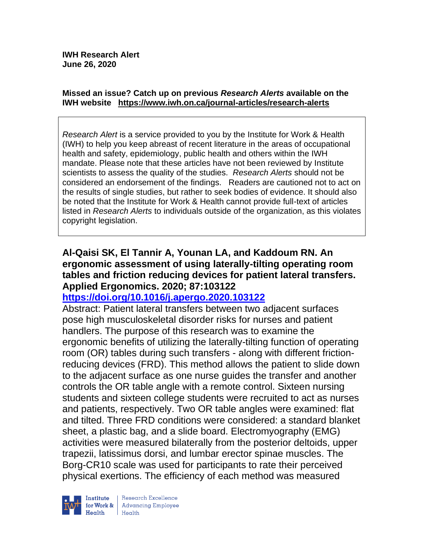#### **Missed an issue? Catch up on previous** *Research Alerts* **available on the [IWH website](http://www.iwh.on.ca/research-alerts) <https://www.iwh.on.ca/journal-articles/research-alerts>**

*Research Alert* is a service provided to you by the Institute for Work & Health (IWH) to help you keep abreast of recent literature in the areas of occupational health and safety, epidemiology, public health and others within the IWH mandate. Please note that these articles have not been reviewed by Institute scientists to assess the quality of the studies. *Research Alerts* should not be considered an endorsement of the findings. Readers are cautioned not to act on the results of single studies, but rather to seek bodies of evidence. It should also be noted that the Institute for Work & Health cannot provide full-text of articles listed in *Research Alerts* to individuals outside of the organization, as this violates copyright legislation.

## **Al-Qaisi SK, El Tannir A, Younan LA, and Kaddoum RN. An ergonomic assessment of using laterally-tilting operating room tables and friction reducing devices for patient lateral transfers. Applied Ergonomics. 2020; 87:103122**

## **<https://doi.org/10.1016/j.apergo.2020.103122>**

Abstract: Patient lateral transfers between two adjacent surfaces pose high musculoskeletal disorder risks for nurses and patient handlers. The purpose of this research was to examine the ergonomic benefits of utilizing the laterally-tilting function of operating room (OR) tables during such transfers - along with different frictionreducing devices (FRD). This method allows the patient to slide down to the adjacent surface as one nurse guides the transfer and another controls the OR table angle with a remote control. Sixteen nursing students and sixteen college students were recruited to act as nurses and patients, respectively. Two OR table angles were examined: flat and tilted. Three FRD conditions were considered: a standard blanket sheet, a plastic bag, and a slide board. Electromyography (EMG) activities were measured bilaterally from the posterior deltoids, upper trapezii, latissimus dorsi, and lumbar erector spinae muscles. The Borg-CR10 scale was used for participants to rate their perceived physical exertions. The efficiency of each method was measured

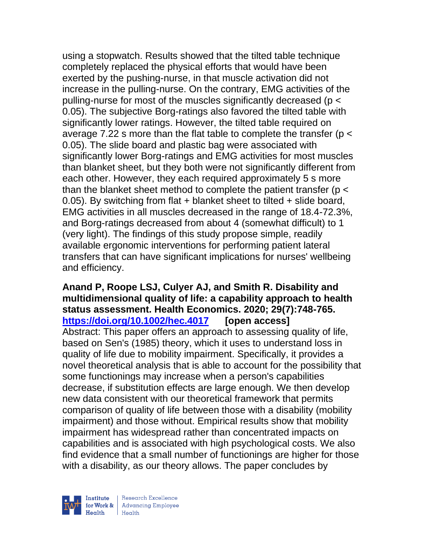using a stopwatch. Results showed that the tilted table technique completely replaced the physical efforts that would have been exerted by the pushing-nurse, in that muscle activation did not increase in the pulling-nurse. On the contrary, EMG activities of the pulling-nurse for most of the muscles significantly decreased (p < 0.05). The subjective Borg-ratings also favored the tilted table with significantly lower ratings. However, the tilted table required on average 7.22 s more than the flat table to complete the transfer (p < 0.05). The slide board and plastic bag were associated with significantly lower Borg-ratings and EMG activities for most muscles than blanket sheet, but they both were not significantly different from each other. However, they each required approximately 5 s more than the blanket sheet method to complete the patient transfer ( $p <$ 0.05). By switching from flat + blanket sheet to tilted + slide board, EMG activities in all muscles decreased in the range of 18.4-72.3%, and Borg-ratings decreased from about 4 (somewhat difficult) to 1 (very light). The findings of this study propose simple, readily available ergonomic interventions for performing patient lateral transfers that can have significant implications for nurses' wellbeing and efficiency.

## **Anand P, Roope LSJ, Culyer AJ, and Smith R. Disability and multidimensional quality of life: a capability approach to health status assessment. Health Economics. 2020; 29(7):748-765. <https://doi.org/10.1002/hec.4017> [open access]**

Abstract: This paper offers an approach to assessing quality of life, based on Sen's (1985) theory, which it uses to understand loss in quality of life due to mobility impairment. Specifically, it provides a novel theoretical analysis that is able to account for the possibility that some functionings may increase when a person's capabilities decrease, if substitution effects are large enough. We then develop new data consistent with our theoretical framework that permits comparison of quality of life between those with a disability (mobility impairment) and those without. Empirical results show that mobility impairment has widespread rather than concentrated impacts on capabilities and is associated with high psychological costs. We also find evidence that a small number of functionings are higher for those with a disability, as our theory allows. The paper concludes by



| Research Excellence for Work & Advancing Employee<br>Health Health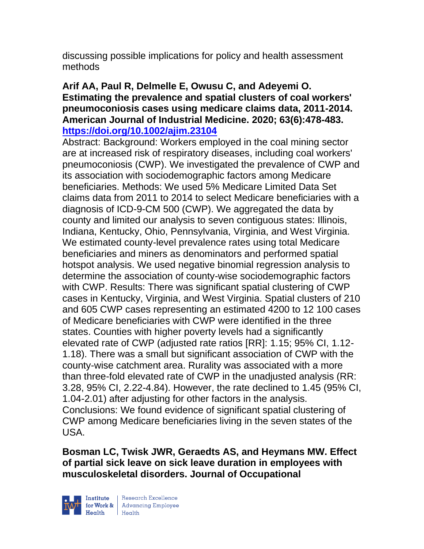discussing possible implications for policy and health assessment methods

## **Arif AA, Paul R, Delmelle E, Owusu C, and Adeyemi O. Estimating the prevalence and spatial clusters of coal workers' pneumoconiosis cases using medicare claims data, 2011-2014. American Journal of Industrial Medicine. 2020; 63(6):478-483. <https://doi.org/10.1002/ajim.23104>**

Abstract: Background: Workers employed in the coal mining sector are at increased risk of respiratory diseases, including coal workers' pneumoconiosis (CWP). We investigated the prevalence of CWP and its association with sociodemographic factors among Medicare beneficiaries. Methods: We used 5% Medicare Limited Data Set claims data from 2011 to 2014 to select Medicare beneficiaries with a diagnosis of ICD-9-CM 500 (CWP). We aggregated the data by county and limited our analysis to seven contiguous states: Illinois, Indiana, Kentucky, Ohio, Pennsylvania, Virginia, and West Virginia. We estimated county-level prevalence rates using total Medicare beneficiaries and miners as denominators and performed spatial hotspot analysis. We used negative binomial regression analysis to determine the association of county-wise sociodemographic factors with CWP. Results: There was significant spatial clustering of CWP cases in Kentucky, Virginia, and West Virginia. Spatial clusters of 210 and 605 CWP cases representing an estimated 4200 to 12 100 cases of Medicare beneficiaries with CWP were identified in the three states. Counties with higher poverty levels had a significantly elevated rate of CWP (adjusted rate ratios [RR]: 1.15; 95% CI, 1.12- 1.18). There was a small but significant association of CWP with the county-wise catchment area. Rurality was associated with a more than three-fold elevated rate of CWP in the unadjusted analysis (RR: 3.28, 95% CI, 2.22-4.84). However, the rate declined to 1.45 (95% CI, 1.04-2.01) after adjusting for other factors in the analysis. Conclusions: We found evidence of significant spatial clustering of CWP among Medicare beneficiaries living in the seven states of the USA.

**Bosman LC, Twisk JWR, Geraedts AS, and Heymans MW. Effect of partial sick leave on sick leave duration in employees with musculoskeletal disorders. Journal of Occupational** 



| Research Excellence for Work & Advancing Employee<br>Health Health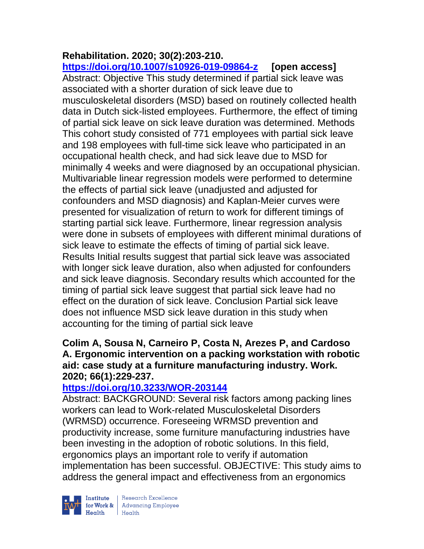# **Rehabilitation. 2020; 30(2):203-210.**

**<https://doi.org/10.1007/s10926-019-09864-z> [open access]** Abstract: Objective This study determined if partial sick leave was associated with a shorter duration of sick leave due to musculoskeletal disorders (MSD) based on routinely collected health data in Dutch sick-listed employees. Furthermore, the effect of timing of partial sick leave on sick leave duration was determined. Methods This cohort study consisted of 771 employees with partial sick leave and 198 employees with full-time sick leave who participated in an occupational health check, and had sick leave due to MSD for minimally 4 weeks and were diagnosed by an occupational physician. Multivariable linear regression models were performed to determine the effects of partial sick leave (unadjusted and adjusted for confounders and MSD diagnosis) and Kaplan-Meier curves were presented for visualization of return to work for different timings of starting partial sick leave. Furthermore, linear regression analysis were done in subsets of employees with different minimal durations of sick leave to estimate the effects of timing of partial sick leave. Results Initial results suggest that partial sick leave was associated with longer sick leave duration, also when adjusted for confounders and sick leave diagnosis. Secondary results which accounted for the timing of partial sick leave suggest that partial sick leave had no effect on the duration of sick leave. Conclusion Partial sick leave does not influence MSD sick leave duration in this study when accounting for the timing of partial sick leave

## **Colim A, Sousa N, Carneiro P, Costa N, Arezes P, and Cardoso A. Ergonomic intervention on a packing workstation with robotic aid: case study at a furniture manufacturing industry. Work. 2020; 66(1):229-237.**

## **<https://doi.org/10.3233/WOR-203144>**

Abstract: BACKGROUND: Several risk factors among packing lines workers can lead to Work-related Musculoskeletal Disorders (WRMSD) occurrence. Foreseeing WRMSD prevention and productivity increase, some furniture manufacturing industries have been investing in the adoption of robotic solutions. In this field, ergonomics plays an important role to verify if automation implementation has been successful. OBJECTIVE: This study aims to address the general impact and effectiveness from an ergonomics



| Research Excellence Finantium Research Excellence<br>
Finantium Research Employee<br>
Realth Health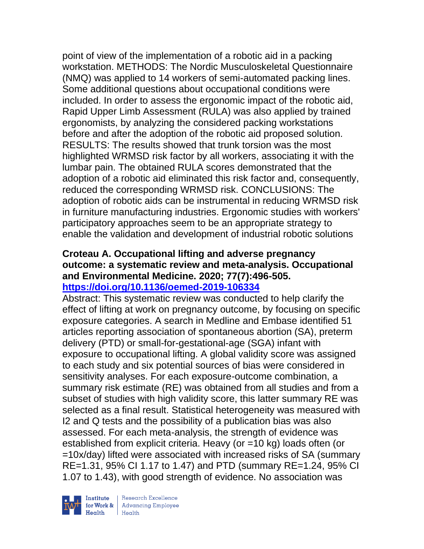point of view of the implementation of a robotic aid in a packing workstation. METHODS: The Nordic Musculoskeletal Questionnaire (NMQ) was applied to 14 workers of semi-automated packing lines. Some additional questions about occupational conditions were included. In order to assess the ergonomic impact of the robotic aid, Rapid Upper Limb Assessment (RULA) was also applied by trained ergonomists, by analyzing the considered packing workstations before and after the adoption of the robotic aid proposed solution. RESULTS: The results showed that trunk torsion was the most highlighted WRMSD risk factor by all workers, associating it with the lumbar pain. The obtained RULA scores demonstrated that the adoption of a robotic aid eliminated this risk factor and, consequently, reduced the corresponding WRMSD risk. CONCLUSIONS: The adoption of robotic aids can be instrumental in reducing WRMSD risk in furniture manufacturing industries. Ergonomic studies with workers' participatory approaches seem to be an appropriate strategy to enable the validation and development of industrial robotic solutions

### **Croteau A. Occupational lifting and adverse pregnancy outcome: a systematic review and meta-analysis. Occupational and Environmental Medicine. 2020; 77(7):496-505. <https://doi.org/10.1136/oemed-2019-106334>**

Abstract: This systematic review was conducted to help clarify the effect of lifting at work on pregnancy outcome, by focusing on specific exposure categories. A search in Medline and Embase identified 51 articles reporting association of spontaneous abortion (SA), preterm delivery (PTD) or small-for-gestational-age (SGA) infant with exposure to occupational lifting. A global validity score was assigned to each study and six potential sources of bias were considered in sensitivity analyses. For each exposure-outcome combination, a summary risk estimate (RE) was obtained from all studies and from a subset of studies with high validity score, this latter summary RE was selected as a final result. Statistical heterogeneity was measured with I2 and Q tests and the possibility of a publication bias was also assessed. For each meta-analysis, the strength of evidence was established from explicit criteria. Heavy (or =10 kg) loads often (or =10x/day) lifted were associated with increased risks of SA (summary RE=1.31, 95% CI 1.17 to 1.47) and PTD (summary RE=1.24, 95% CI 1.07 to 1.43), with good strength of evidence. No association was



 $\begin{tabular}{|l|} Institute & Research Excellence \\ \hline for Work & Advancing Employee \\ Health & Health \\ \end{tabular}$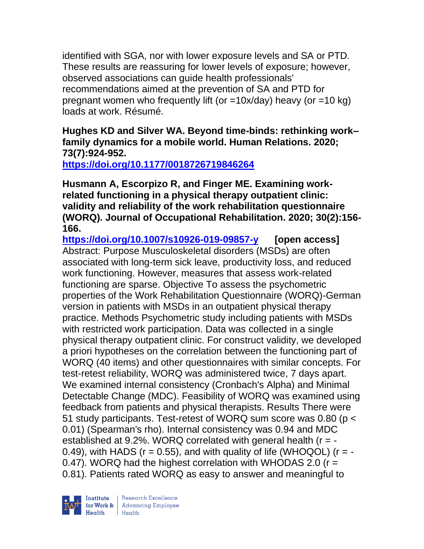identified with SGA, nor with lower exposure levels and SA or PTD. These results are reassuring for lower levels of exposure; however, observed associations can guide health professionals' recommendations aimed at the prevention of SA and PTD for pregnant women who frequently lift (or =10x/day) heavy (or =10 kg) loads at work. Résumé.

**Hughes KD and Silver WA. Beyond time-binds: rethinking work– family dynamics for a mobile world. Human Relations. 2020; 73(7):924-952.** 

**<https://doi.org/10.1177/0018726719846264>** 

**Husmann A, Escorpizo R, and Finger ME. Examining workrelated functioning in a physical therapy outpatient clinic: validity and reliability of the work rehabilitation questionnaire (WORQ). Journal of Occupational Rehabilitation. 2020; 30(2):156- 166.** 

**<https://doi.org/10.1007/s10926-019-09857-y> [open access]** Abstract: Purpose Musculoskeletal disorders (MSDs) are often associated with long-term sick leave, productivity loss, and reduced work functioning. However, measures that assess work-related functioning are sparse. Objective To assess the psychometric properties of the Work Rehabilitation Questionnaire (WORQ)-German version in patients with MSDs in an outpatient physical therapy practice. Methods Psychometric study including patients with MSDs with restricted work participation. Data was collected in a single physical therapy outpatient clinic. For construct validity, we developed a priori hypotheses on the correlation between the functioning part of WORQ (40 items) and other questionnaires with similar concepts. For test-retest reliability, WORQ was administered twice, 7 days apart. We examined internal consistency (Cronbach's Alpha) and Minimal Detectable Change (MDC). Feasibility of WORQ was examined using feedback from patients and physical therapists. Results There were 51 study participants. Test-retest of WORQ sum score was 0.80 (p < 0.01) (Spearman's rho). Internal consistency was 0.94 and MDC established at 9.2%. WORQ correlated with general health  $(r = -$ 0.49), with HADS ( $r = 0.55$ ), and with quality of life (WHOQOL) ( $r = -$ 0.47). WORQ had the highest correlation with WHODAS 2.0 (r = 0.81). Patients rated WORQ as easy to answer and meaningful to

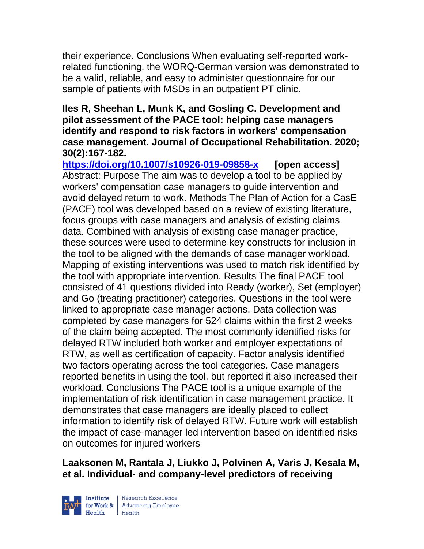their experience. Conclusions When evaluating self-reported workrelated functioning, the WORQ-German version was demonstrated to be a valid, reliable, and easy to administer questionnaire for our sample of patients with MSDs in an outpatient PT clinic.

## **Iles R, Sheehan L, Munk K, and Gosling C. Development and pilot assessment of the PACE tool: helping case managers identify and respond to risk factors in workers' compensation case management. Journal of Occupational Rehabilitation. 2020; 30(2):167-182.**

**<https://doi.org/10.1007/s10926-019-09858-x> [open access]** Abstract: Purpose The aim was to develop a tool to be applied by workers' compensation case managers to guide intervention and avoid delayed return to work. Methods The Plan of Action for a CasE (PACE) tool was developed based on a review of existing literature, focus groups with case managers and analysis of existing claims data. Combined with analysis of existing case manager practice, these sources were used to determine key constructs for inclusion in the tool to be aligned with the demands of case manager workload. Mapping of existing interventions was used to match risk identified by the tool with appropriate intervention. Results The final PACE tool consisted of 41 questions divided into Ready (worker), Set (employer) and Go (treating practitioner) categories. Questions in the tool were linked to appropriate case manager actions. Data collection was completed by case managers for 524 claims within the first 2 weeks of the claim being accepted. The most commonly identified risks for delayed RTW included both worker and employer expectations of RTW, as well as certification of capacity. Factor analysis identified two factors operating across the tool categories. Case managers reported benefits in using the tool, but reported it also increased their workload. Conclusions The PACE tool is a unique example of the implementation of risk identification in case management practice. It demonstrates that case managers are ideally placed to collect information to identify risk of delayed RTW. Future work will establish the impact of case-manager led intervention based on identified risks on outcomes for injured workers

## **Laaksonen M, Rantala J, Liukko J, Polvinen A, Varis J, Kesala M, et al. Individual- and company-level predictors of receiving**



| Research Excellence for Work & Advancing Employee<br>Health Health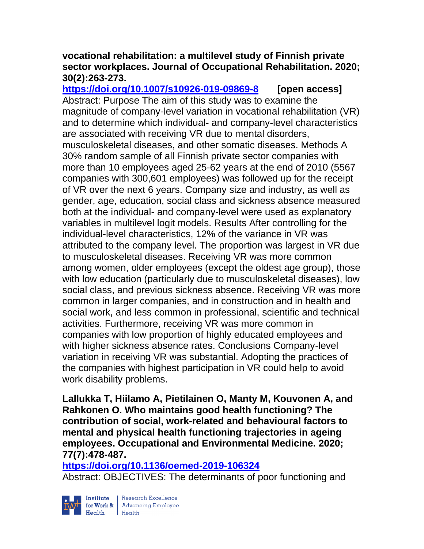### **vocational rehabilitation: a multilevel study of Finnish private sector workplaces. Journal of Occupational Rehabilitation. 2020; 30(2):263-273.**

**<https://doi.org/10.1007/s10926-019-09869-8> [open access]** Abstract: Purpose The aim of this study was to examine the magnitude of company-level variation in vocational rehabilitation (VR) and to determine which individual- and company-level characteristics are associated with receiving VR due to mental disorders, musculoskeletal diseases, and other somatic diseases. Methods A 30% random sample of all Finnish private sector companies with more than 10 employees aged 25-62 years at the end of 2010 (5567 companies with 300,601 employees) was followed up for the receipt of VR over the next 6 years. Company size and industry, as well as gender, age, education, social class and sickness absence measured both at the individual- and company-level were used as explanatory variables in multilevel logit models. Results After controlling for the individual-level characteristics, 12% of the variance in VR was attributed to the company level. The proportion was largest in VR due to musculoskeletal diseases. Receiving VR was more common among women, older employees (except the oldest age group), those with low education (particularly due to musculoskeletal diseases), low social class, and previous sickness absence. Receiving VR was more common in larger companies, and in construction and in health and social work, and less common in professional, scientific and technical activities. Furthermore, receiving VR was more common in companies with low proportion of highly educated employees and with higher sickness absence rates. Conclusions Company-level variation in receiving VR was substantial. Adopting the practices of the companies with highest participation in VR could help to avoid work disability problems.

**Lallukka T, Hiilamo A, Pietilainen O, Manty M, Kouvonen A, and Rahkonen O. Who maintains good health functioning? The contribution of social, work-related and behavioural factors to mental and physical health functioning trajectories in ageing employees. Occupational and Environmental Medicine. 2020; 77(7):478-487.** 

**<https://doi.org/10.1136/oemed-2019-106324>** 

Abstract: OBJECTIVES: The determinants of poor functioning and



| Research Excellence Financial Research Excellence<br>
Financial Realth<br>
Realth<br>
Realth<br>
Realth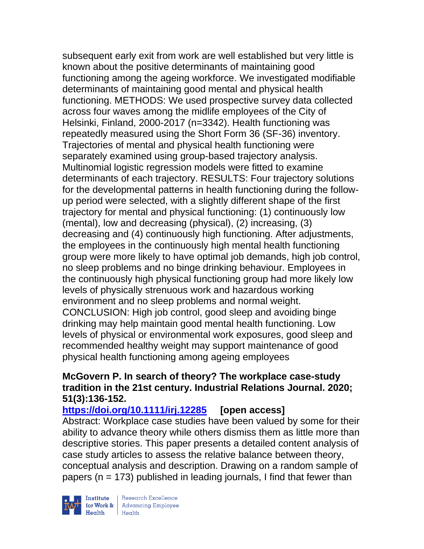subsequent early exit from work are well established but very little is known about the positive determinants of maintaining good functioning among the ageing workforce. We investigated modifiable determinants of maintaining good mental and physical health functioning. METHODS: We used prospective survey data collected across four waves among the midlife employees of the City of Helsinki, Finland, 2000-2017 (n=3342). Health functioning was repeatedly measured using the Short Form 36 (SF-36) inventory. Trajectories of mental and physical health functioning were separately examined using group-based trajectory analysis. Multinomial logistic regression models were fitted to examine determinants of each trajectory. RESULTS: Four trajectory solutions for the developmental patterns in health functioning during the followup period were selected, with a slightly different shape of the first trajectory for mental and physical functioning: (1) continuously low (mental), low and decreasing (physical), (2) increasing, (3) decreasing and (4) continuously high functioning. After adjustments, the employees in the continuously high mental health functioning group were more likely to have optimal job demands, high job control, no sleep problems and no binge drinking behaviour. Employees in the continuously high physical functioning group had more likely low levels of physically strenuous work and hazardous working environment and no sleep problems and normal weight. CONCLUSION: High job control, good sleep and avoiding binge drinking may help maintain good mental health functioning. Low levels of physical or environmental work exposures, good sleep and recommended healthy weight may support maintenance of good physical health functioning among ageing employees

## **McGovern P. In search of theory? The workplace case-study tradition in the 21st century. Industrial Relations Journal. 2020; 51(3):136-152.**

**<https://doi.org/10.1111/irj.12285>[open access]**

Abstract: Workplace case studies have been valued by some for their ability to advance theory while others dismiss them as little more than descriptive stories. This paper presents a detailed content analysis of case study articles to assess the relative balance between theory, conceptual analysis and description. Drawing on a random sample of papers ( $n = 173$ ) published in leading journals, I find that fewer than



| Research Excellence Institute<br>
for Work & Advancing Employee<br>
Health Health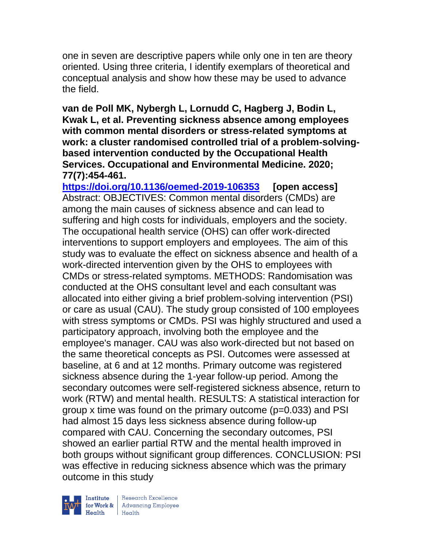one in seven are descriptive papers while only one in ten are theory oriented. Using three criteria, I identify exemplars of theoretical and conceptual analysis and show how these may be used to advance the field.

**van de Poll MK, Nybergh L, Lornudd C, Hagberg J, Bodin L, Kwak L, et al. Preventing sickness absence among employees with common mental disorders or stress-related symptoms at work: a cluster randomised controlled trial of a problem-solvingbased intervention conducted by the Occupational Health Services. Occupational and Environmental Medicine. 2020; 77(7):454-461.** 

**<https://doi.org/10.1136/oemed-2019-106353> [open access]** Abstract: OBJECTIVES: Common mental disorders (CMDs) are among the main causes of sickness absence and can lead to suffering and high costs for individuals, employers and the society. The occupational health service (OHS) can offer work-directed interventions to support employers and employees. The aim of this study was to evaluate the effect on sickness absence and health of a work-directed intervention given by the OHS to employees with CMDs or stress-related symptoms. METHODS: Randomisation was conducted at the OHS consultant level and each consultant was allocated into either giving a brief problem-solving intervention (PSI) or care as usual (CAU). The study group consisted of 100 employees with stress symptoms or CMDs. PSI was highly structured and used a participatory approach, involving both the employee and the employee's manager. CAU was also work-directed but not based on the same theoretical concepts as PSI. Outcomes were assessed at baseline, at 6 and at 12 months. Primary outcome was registered sickness absence during the 1-year follow-up period. Among the secondary outcomes were self-registered sickness absence, return to work (RTW) and mental health. RESULTS: A statistical interaction for group x time was found on the primary outcome (p=0.033) and PSI had almost 15 days less sickness absence during follow-up compared with CAU. Concerning the secondary outcomes, PSI showed an earlier partial RTW and the mental health improved in both groups without significant group differences. CONCLUSION: PSI was effective in reducing sickness absence which was the primary outcome in this study



| Research Excellence for Work & | Advancing Employee Health Health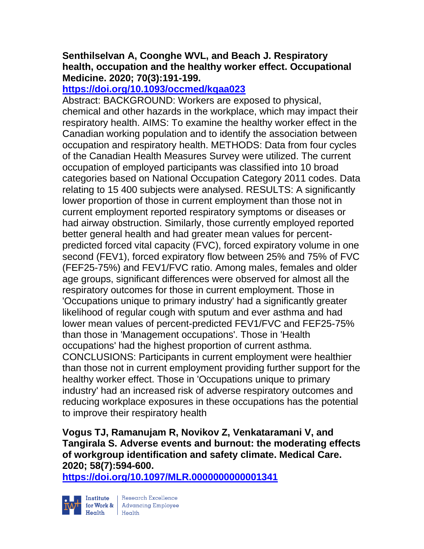## **Senthilselvan A, Coonghe WVL, and Beach J. Respiratory health, occupation and the healthy worker effect. Occupational Medicine. 2020; 70(3):191-199.**

## **<https://doi.org/10.1093/occmed/kqaa023>**

Abstract: BACKGROUND: Workers are exposed to physical, chemical and other hazards in the workplace, which may impact their respiratory health. AIMS: To examine the healthy worker effect in the Canadian working population and to identify the association between occupation and respiratory health. METHODS: Data from four cycles of the Canadian Health Measures Survey were utilized. The current occupation of employed participants was classified into 10 broad categories based on National Occupation Category 2011 codes. Data relating to 15 400 subjects were analysed. RESULTS: A significantly lower proportion of those in current employment than those not in current employment reported respiratory symptoms or diseases or had airway obstruction. Similarly, those currently employed reported better general health and had greater mean values for percentpredicted forced vital capacity (FVC), forced expiratory volume in one second (FEV1), forced expiratory flow between 25% and 75% of FVC (FEF25-75%) and FEV1/FVC ratio. Among males, females and older age groups, significant differences were observed for almost all the respiratory outcomes for those in current employment. Those in 'Occupations unique to primary industry' had a significantly greater likelihood of regular cough with sputum and ever asthma and had lower mean values of percent-predicted FEV1/FVC and FEF25-75% than those in 'Management occupations'. Those in 'Health occupations' had the highest proportion of current asthma. CONCLUSIONS: Participants in current employment were healthier than those not in current employment providing further support for the healthy worker effect. Those in 'Occupations unique to primary industry' had an increased risk of adverse respiratory outcomes and reducing workplace exposures in these occupations has the potential to improve their respiratory health

**Vogus TJ, Ramanujam R, Novikov Z, Venkataramani V, and Tangirala S. Adverse events and burnout: the moderating effects of workgroup identification and safety climate. Medical Care. 2020; 58(7):594-600.** 

**<https://doi.org/10.1097/MLR.0000000000001341>** 



Institute Research Excellence<br>
for Work & Advancing Employee<br>
Health Health